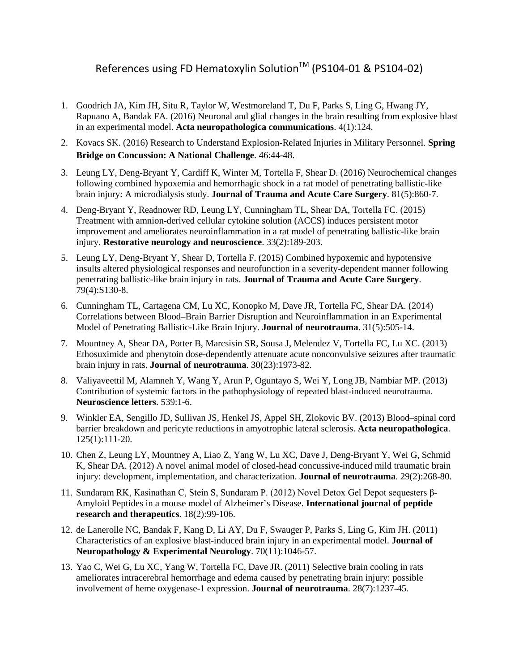## References using FD Hematoxylin Solution<sup>™</sup> (PS104-01 & PS104-02)

- 1. Goodrich JA, Kim JH, Situ R, Taylor W, Westmoreland T, Du F, Parks S, Ling G, Hwang JY, Rapuano A, Bandak FA. (2016) Neuronal and glial changes in the brain resulting from explosive blast in an experimental model. **Acta neuropathologica communications**. 4(1):124.
- 2. Kovacs SK. (2016) Research to Understand Explosion-Related Injuries in Military Personnel. **Spring Bridge on Concussion: A National Challenge**. 46:44-48.
- 3. Leung LY, Deng-Bryant Y, Cardiff K, Winter M, Tortella F, Shear D. (2016) Neurochemical changes following combined hypoxemia and hemorrhagic shock in a rat model of penetrating ballistic-like brain injury: A microdialysis study. **Journal of Trauma and Acute Care Surgery**. 81(5):860-7.
- 4. Deng-Bryant Y, Readnower RD, Leung LY, Cunningham TL, Shear DA, Tortella FC. (2015) Treatment with amnion-derived cellular cytokine solution (ACCS) induces persistent motor improvement and ameliorates neuroinflammation in a rat model of penetrating ballistic-like brain injury. **Restorative neurology and neuroscience**. 33(2):189-203.
- 5. Leung LY, Deng-Bryant Y, Shear D, Tortella F. (2015) Combined hypoxemic and hypotensive insults altered physiological responses and neurofunction in a severity-dependent manner following penetrating ballistic-like brain injury in rats. **Journal of Trauma and Acute Care Surgery**. 79(4):S130-8.
- 6. Cunningham TL, Cartagena CM, Lu XC, Konopko M, Dave JR, Tortella FC, Shear DA. (2014) Correlations between Blood–Brain Barrier Disruption and Neuroinflammation in an Experimental Model of Penetrating Ballistic-Like Brain Injury. **Journal of neurotrauma**. 31(5):505-14.
- 7. Mountney A, Shear DA, Potter B, Marcsisin SR, Sousa J, Melendez V, Tortella FC, Lu XC. (2013) Ethosuximide and phenytoin dose-dependently attenuate acute nonconvulsive seizures after traumatic brain injury in rats. **Journal of neurotrauma**. 30(23):1973-82.
- 8. Valiyaveettil M, Alamneh Y, Wang Y, Arun P, Oguntayo S, Wei Y, Long JB, Nambiar MP. (2013) Contribution of systemic factors in the pathophysiology of repeated blast-induced neurotrauma. **Neuroscience letters**. 539:1-6.
- 9. Winkler EA, Sengillo JD, Sullivan JS, Henkel JS, Appel SH, Zlokovic BV. (2013) Blood–spinal cord barrier breakdown and pericyte reductions in amyotrophic lateral sclerosis. **Acta neuropathologica**. 125(1):111-20.
- 10. Chen Z, Leung LY, Mountney A, Liao Z, Yang W, Lu XC, Dave J, Deng-Bryant Y, Wei G, Schmid K, Shear DA. (2012) A novel animal model of closed-head concussive-induced mild traumatic brain injury: development, implementation, and characterization. **Journal of neurotrauma**. 29(2):268-80.
- 11. Sundaram RK, Kasinathan C, Stein S, Sundaram P. (2012) Novel Detox Gel Depot sequesters β-Amyloid Peptides in a mouse model of Alzheimer's Disease. **International journal of peptide research and therapeutics**. 18(2):99-106.
- 12. de Lanerolle NC, Bandak F, Kang D, Li AY, Du F, Swauger P, Parks S, Ling G, Kim JH. (2011) Characteristics of an explosive blast-induced brain injury in an experimental model. **Journal of Neuropathology & Experimental Neurology**. 70(11):1046-57.
- 13. Yao C, Wei G, Lu XC, Yang W, Tortella FC, Dave JR. (2011) Selective brain cooling in rats ameliorates intracerebral hemorrhage and edema caused by penetrating brain injury: possible involvement of heme oxygenase-1 expression. **Journal of neurotrauma**. 28(7):1237-45.